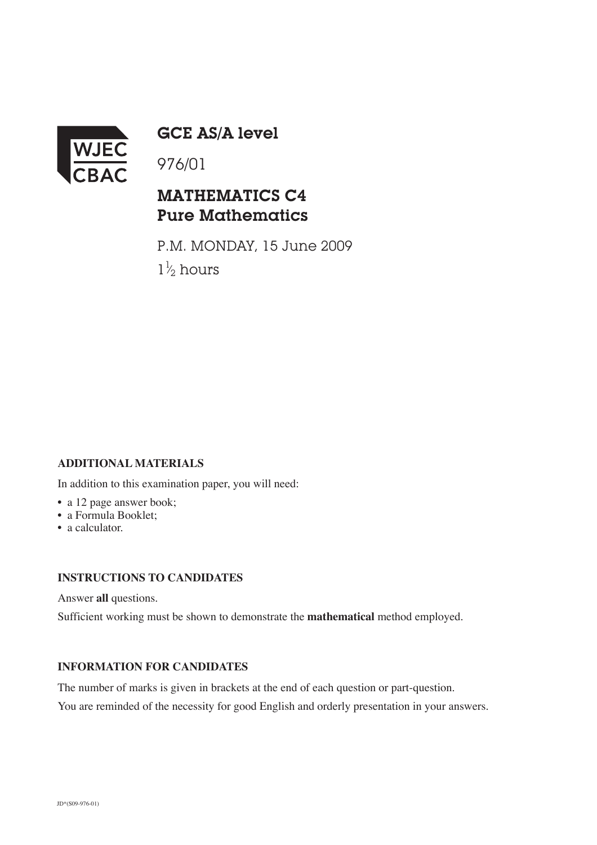

GCE AS/A level

## MATHEMATICS C4 Pure Mathematics

P.M. MONDAY, 15 June 2009  $1\frac{1}{2}$  hours ⁄

## **ADDITIONAL MATERIALS**

In addition to this examination paper, you will need:

- a 12 page answer book;
- a Formula Booklet;
- a calculator.

## **INSTRUCTIONS TO CANDIDATES**

Answer **all** questions.

Sufficient working must be shown to demonstrate the **mathematical** method employed.

## **INFORMATION FOR CANDIDATES**

The number of marks is given in brackets at the end of each question or part-question.

You are reminded of the necessity for good English and orderly presentation in your answers.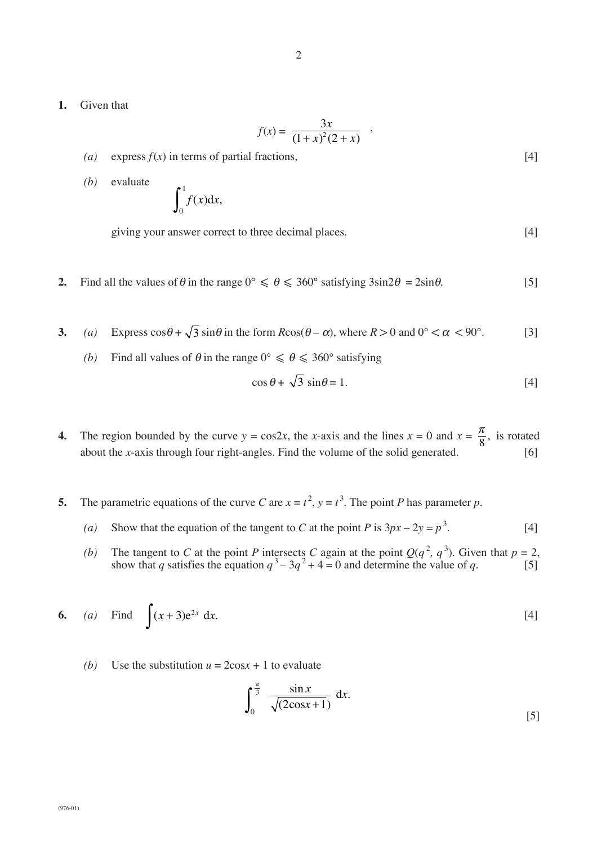**1.** Given that

$$
f(x) = \frac{3x}{(1+x)^2(2+x)},
$$

- *(a)* express  $f(x)$  in terms of partial fractions, [4]
- *(b)* evaluate  $\int_0^1$ *f* (*x*)d*x*,

giving your answer correct to three decimal places. [4]

- **2.** Find all the values of  $\theta$  in the range  $0^{\circ} \le \theta \le 360^{\circ}$  satisfying  $3\sin 2\theta = 2\sin \theta$ . [5]
- 3. *(a)* Express  $\cos\theta + \sqrt{3} \sin\theta$  in the form  $R\cos(\theta \alpha)$ , where  $R > 0$  and  $0^{\circ} < \alpha < 90^{\circ}$ . [3]
	- *(b)* Find all values of  $\theta$  in the range  $0^{\circ} \le \theta \le 360^{\circ}$  satisfying

$$
\cos \theta + \sqrt{3} \sin \theta = 1. \tag{4}
$$

- **4.** The region bounded by the curve  $y = \cos 2x$ , the *x*-axis and the lines  $x = 0$  and  $x = \frac{\pi}{8}$ , is rotated about the *x*-axis through four right-angles. Find the volume of the solid generated.  $\qquad \qquad [6]$ 8
- **5.** The parametric equations of the curve *C* are  $x = t^2$ ,  $y = t^3$ . The point *P* has parameter *p*.
	- *(a)* Show that the equation of the tangent to *C* at the point *P* is  $3px 2y = p^3$ .  $[4]$
	- *(b)* The tangent to *C* at the point *P* intersects *C* again at the point  $Q(q^2, q^3)$ . Given that  $p = 2$ , show that *q* satisfies the equation  $q^3 - 3q^2 + 4 = 0$  and determine the value of *q*. [5]

6. (a) Find 
$$
\int (x+3)e^{2x} dx
$$
. [4]

(b) Use the substitution  $u = 2\cos x + 1$  to evaluate

$$
\int_0^{\frac{\pi}{3}} \frac{\sin x}{\sqrt{(2\cos x + 1)}} dx.
$$
 [5]